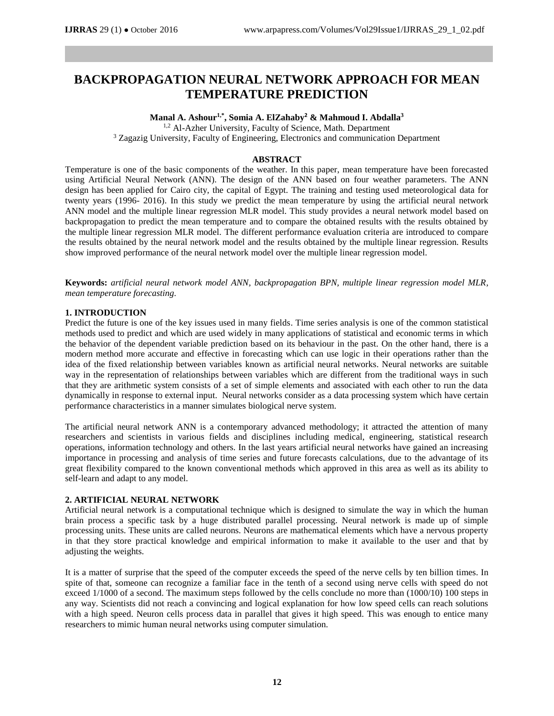# **BACKPROPAGATION NEURAL NETWORK APPROACH FOR MEAN TEMPERATURE PREDICTION**

## **Manal A. Ashour1,\* , Somia A. ElZahaby<sup>2</sup> & Mahmoud I. Abdalla<sup>3</sup>**

<sup>1,2</sup> Al-Azher University, Faculty of Science, Math. Department <sup>3</sup> Zagazig University, Faculty of Engineering, Electronics and communication Department

# **ABSTRACT**

Temperature is one of the basic components of the weather. In this paper, mean temperature have been forecasted using Artificial Neural Network (ANN). The design of the ANN based on four weather parameters. The ANN design has been applied for Cairo city, the capital of Egypt. The training and testing used meteorological data for twenty years (1996- 2016). In this study we predict the mean temperature by using the artificial neural network ANN model and the multiple linear regression MLR model. This study provides a neural network model based on backpropagation to predict the mean temperature and to compare the obtained results with the results obtained by the multiple linear regression MLR model. The different performance evaluation criteria are introduced to compare the results obtained by the neural network model and the results obtained by the multiple linear regression. Results show improved performance of the neural network model over the multiple linear regression model.

**Keywords:** *artificial neural network model ANN, backpropagation BPN, multiple linear regression model MLR, mean temperature forecasting.*

## **1. INTRODUCTION**

Predict the future is one of the key issues used in many fields. Time series analysis is one of the common statistical methods used to predict and which are used widely in many applications of statistical and economic terms in which the behavior of the dependent variable prediction based on its behaviour in the past. On the other hand, there is a modern method more accurate and effective in forecasting which can use logic in their operations rather than the idea of the fixed relationship between variables known as artificial neural networks. Neural networks are suitable way in the representation of relationships between variables which are different from the traditional ways in such that they are arithmetic system consists of a set of simple elements and associated with each other to run the data dynamically in response to external input. Neural networks consider as a data processing system which have certain performance characteristics in a manner simulates biological nerve system.

The artificial neural network ANN is a contemporary advanced methodology; it attracted the attention of many researchers and scientists in various fields and disciplines including medical, engineering, statistical research operations, information technology and others. In the last years artificial neural networks have gained an increasing importance in processing and analysis of time series and future forecasts calculations, due to the advantage of its great flexibility compared to the known conventional methods which approved in this area as well as its ability to self-learn and adapt to any model.

## **2. ARTIFICIAL NEURAL NETWORK**

Artificial neural network is a computational technique which is designed to simulate the way in which the human brain process a specific task by a huge distributed parallel processing. Neural network is made up of simple processing units. These units are called neurons. Neurons are mathematical elements which have a nervous property in that they store practical knowledge and empirical information to make it available to the user and that by adjusting the weights.

It is a matter of surprise that the speed of the computer exceeds the speed of the nerve cells by ten billion times. In spite of that, someone can recognize a familiar face in the tenth of a second using nerve cells with speed do not exceed 1/1000 of a second. The maximum steps followed by the cells conclude no more than (1000/10) 100 steps in any way. Scientists did not reach a convincing and logical explanation for how low speed cells can reach solutions with a high speed. Neuron cells process data in parallel that gives it high speed. This was enough to entice many researchers to mimic human neural networks using computer simulation.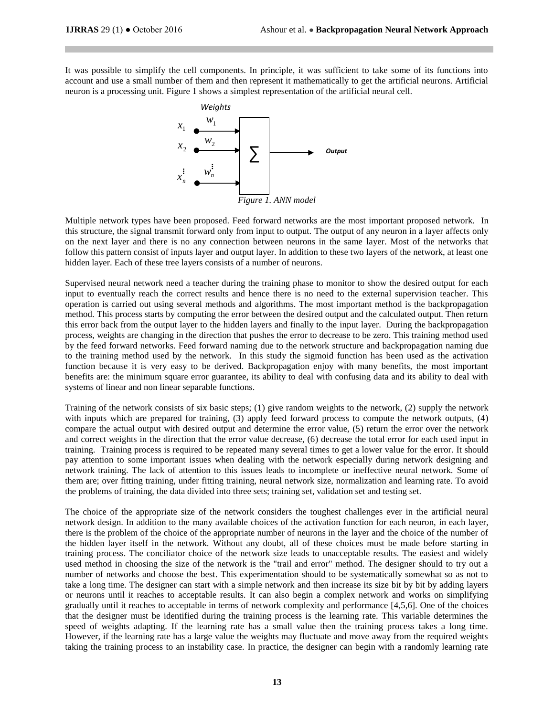It was possible to simplify the cell components. In principle, it was sufficient to take some of its functions into account and use a small number of them and then represent it mathematically to get the artificial neurons. Artificial neuron is a processing unit. Figure 1 shows a simplest representation of the artificial neural cell.



Multiple network types have been proposed. Feed forward networks are the most important proposed network. In this structure, the signal transmit forward only from input to output. The output of any neuron in a layer affects only on the next layer and there is no any connection between neurons in the same layer. Most of the networks that follow this pattern consist of inputs layer and output layer. In addition to these two layers of the network, at least one hidden layer. Each of these tree layers consists of a number of neurons.

Supervised neural network need a teacher during the training phase to monitor to show the desired output for each input to eventually reach the correct results and hence there is no need to the external supervision teacher. This operation is carried out using several methods and algorithms. The most important method is the backpropagation method. This process starts by computing the error between the desired output and the calculated output. Then return this error back from the output layer to the hidden layers and finally to the input layer. During the backpropagation process, weights are changing in the direction that pushes the error to decrease to be zero. This training method used by the feed forward networks. Feed forward naming due to the network structure and backpropagation naming due to the training method used by the network. In this study the sigmoid function has been used as the activation function because it is very easy to be derived. Backpropagation enjoy with many benefits, the most important benefits are: the minimum square error guarantee, its ability to deal with confusing data and its ability to deal with systems of linear and non linear separable functions.

Training of the network consists of six basic steps; (1) give random weights to the network, (2) supply the network with inputs which are prepared for training, (3) apply feed forward process to compute the network outputs, (4) compare the actual output with desired output and determine the error value, (5) return the error over the network and correct weights in the direction that the error value decrease, (6) decrease the total error for each used input in training. Training process is required to be repeated many several times to get a lower value for the error. It should pay attention to some important issues when dealing with the network especially during network designing and network training. The lack of attention to this issues leads to incomplete or ineffective neural network. Some of them are; over fitting training, under fitting training, neural network size, normalization and learning rate. To avoid the problems of training, the data divided into three sets; training set, validation set and testing set.

The choice of the appropriate size of the network considers the toughest challenges ever in the artificial neural network design. In addition to the many available choices of the activation function for each neuron, in each layer, there is the problem of the choice of the appropriate number of neurons in the layer and the choice of the number of the hidden layer itself in the network. Without any doubt, all of these choices must be made before starting in training process. The conciliator choice of the network size leads to unacceptable results. The easiest and widely used method in choosing the size of the network is the "trail and error" method. The designer should to try out a number of networks and choose the best. This experimentation should to be systematically somewhat so as not to take a long time. The designer can start with a simple network and then increase its size bit by bit by adding layers or neurons until it reaches to acceptable results. It can also begin a complex network and works on simplifying gradually until it reaches to acceptable in terms of network complexity and performance [4,5,6]. One of the choices that the designer must be identified during the training process is the learning rate. This variable determines the speed of weights adapting. If the learning rate has a small value then the training process takes a long time. However, if the learning rate has a large value the weights may fluctuate and move away from the required weights taking the training process to an instability case. In practice, the designer can begin with a randomly learning rate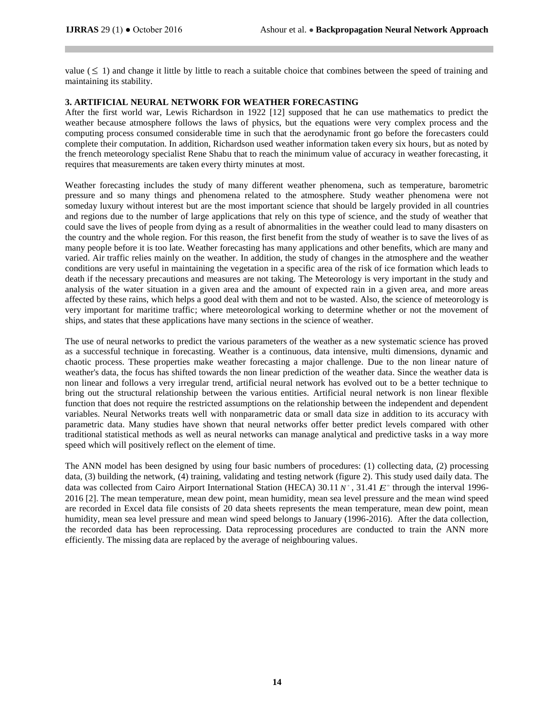value  $(\leq 1)$  and change it little by little to reach a suitable choice that combines between the speed of training and maintaining its stability.

# **3. ARTIFICIAL NEURAL NETWORK FOR WEATHER FORECASTING**

After the first world war, Lewis Richardson in 1922 [12] supposed that he can use mathematics to predict the weather because atmosphere follows the laws of physics, but the equations were very complex process and the computing process consumed considerable time in such that the aerodynamic front go before the forecasters could complete their computation. In addition, Richardson used weather information taken every six hours, but as noted by the french meteorology specialist Rene Shabu that to reach the minimum value of accuracy in weather forecasting, it requires that measurements are taken every thirty minutes at most.

Weather forecasting includes the study of many different weather phenomena, such as temperature, barometric pressure and so many things and phenomena related to the atmosphere. Study weather phenomena were not someday luxury without interest but are the most important science that should be largely provided in all countries and regions due to the number of large applications that rely on this type of science, and the study of weather that could save the lives of people from dying as a result of abnormalities in the weather could lead to many disasters on the country and the whole region. For this reason, the first benefit from the study of weather is to save the lives of as many people before it is too late. Weather forecasting has many applications and other benefits, which are many and varied. Air traffic relies mainly on the weather. In addition, the study of changes in the atmosphere and the weather conditions are very useful in maintaining the vegetation in a specific area of the risk of ice formation which leads to death if the necessary precautions and measures are not taking. The Meteorology is very important in the study and analysis of the water situation in a given area and the amount of expected rain in a given area, and more areas affected by these rains, which helps a good deal with them and not to be wasted. Also, the science of meteorology is very important for maritime traffic; where meteorological working to determine whether or not the movement of ships, and states that these applications have many sections in the science of weather.

The use of neural networks to predict the various parameters of the weather as a new systematic science has proved as a successful technique in forecasting. Weather is a continuous, data intensive, multi dimensions, dynamic and chaotic process. These properties make weather forecasting a major challenge. Due to the non linear nature of weather's data, the focus has shifted towards the non linear prediction of the weather data. Since the weather data is non linear and follows a very irregular trend, artificial neural network has evolved out to be a better technique to bring out the structural relationship between the various entities. Artificial neural network is non linear flexible function that does not require the restricted assumptions on the relationship between the independent and dependent variables. Neural Networks treats well with nonparametric data or small data size in addition to its accuracy with parametric data. Many studies have shown that neural networks offer better predict levels compared with other traditional statistical methods as well as neural networks can manage analytical and predictive tasks in a way more speed which will positively reflect on the element of time.

The ANN model has been designed by using four basic numbers of procedures: (1) collecting data, (2) processing data, (3) building the network, (4) training, validating and testing network (figure 2). This study used daily data. The data was collected from Cairo Airport International Station (HECA) 30.11 N°, 31.41 E° through the interval 1996-2016 [2]. The mean temperature, mean dew point, mean humidity, mean sea level pressure and the mean wind speed are recorded in Excel data file consists of 20 data sheets represents the mean temperature, mean dew point, mean humidity, mean sea level pressure and mean wind speed belongs to January (1996-2016). After the data collection, the recorded data has been reprocessing. Data reprocessing procedures are conducted to train the ANN more efficiently. The missing data are replaced by the average of neighbouring values.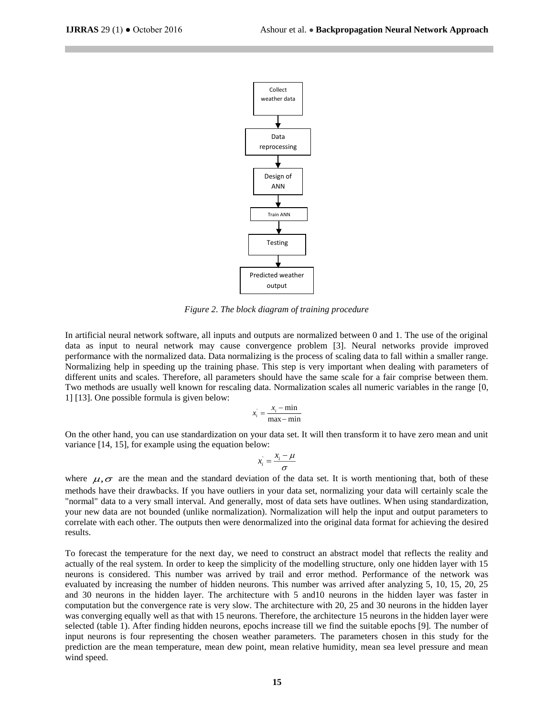

*Figure 2. The block diagram of training procedure* 

In artificial neural network software, all inputs and outputs are normalized between 0 and 1. The use of the original data as input to neural network may cause convergence problem [3]. Neural networks provide improved performance with the normalized data. Data normalizing is the process of scaling data to fall within a smaller range. Normalizing help in speeding up the training phase. This step is very important when dealing with parameters of different units and scales. Therefore, all parameters should have the same scale for a fair comprise between them. Two methods are usually well known for rescaling data. Normalization scales all numeric variables in the range [0, 1] [13]. One possible formula is given below:

$$
x_i = \frac{x_i - \min}{\max - \min}
$$

On the other hand, you can use standardization on your data set. It will then transform it to have zero mean and unit variance [14, 15], for example using the equation below:

$$
x_i = \frac{x_i - \mu}{\sigma}
$$

where  $\mu, \sigma$  are the mean and the standard deviation of the data set. It is worth mentioning that, both of these methods have their drawbacks. If you have outliers in your data set, normalizing your data will certainly scale the "normal" data to a very small interval. And generally, most of data sets have outlines. When using standardization, your new data are not bounded (unlike normalization). Normalization will help the input and output parameters to correlate with each other. The outputs then were denormalized into the original data format for achieving the desired results.

To forecast the temperature for the next day, we need to construct an abstract model that reflects the reality and actually of the real system. In order to keep the simplicity of the modelling structure, only one hidden layer with 15 neurons is considered. This number was arrived by trail and error method. Performance of the network was evaluated by increasing the number of hidden neurons. This number was arrived after analyzing 5, 10, 15, 20, 25 and 30 neurons in the hidden layer. The architecture with 5 and10 neurons in the hidden layer was faster in computation but the convergence rate is very slow. The architecture with 20, 25 and 30 neurons in the hidden layer was converging equally well as that with 15 neurons. Therefore, the architecture 15 neurons in the hidden layer were selected (table 1). After finding hidden neurons, epochs increase till we find the suitable epochs [9]. The number of input neurons is four representing the chosen weather parameters. The parameters chosen in this study for the prediction are the mean temperature, mean dew point, mean relative humidity, mean sea level pressure and mean wind speed.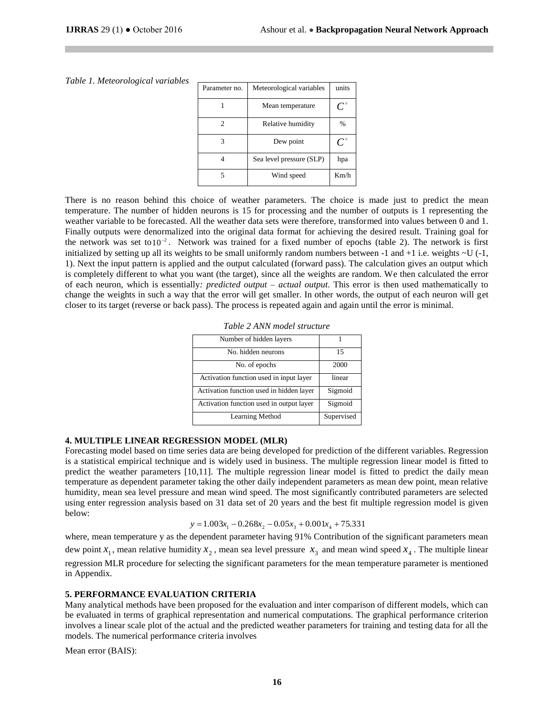| Parameter no. | Meteorological variables | units         |
|---------------|--------------------------|---------------|
|               | Mean temperature         |               |
| 2             | Relative humidity        | $\frac{0}{0}$ |
| 3             | Dew point                |               |
|               | Sea level pressure (SLP) | hpa           |
|               | Wind speed               | Km/h          |

#### *Table 1. Meteorological variables*

There is no reason behind this choice of weather parameters. The choice is made just to predict the mean temperature. The number of hidden neurons is 15 for processing and the number of outputs is 1 representing the weather variable to be forecasted. All the weather data sets were therefore, transformed into values between 0 and 1. Finally outputs were denormalized into the original data format for achieving the desired result. Training goal for the network was set to  $10^{-2}$ . Network was trained for a fixed number of epochs (table 2). The network is first initialized by setting up all its weights to be small uniformly random numbers between  $-1$  and  $+1$  i.e. weights  $\sim U$  ( $-1$ , 1). Next the input pattern is applied and the output calculated (forward pass). The calculation gives an output which is completely different to what you want (the target), since all the weights are random. We then calculated the error of each neuron, which is essentially*: predicted output* – *actual output*. This error is then used mathematically to change the weights in such a way that the error will get smaller. In other words, the output of each neuron will get closer to its target (reverse or back pass). The process is repeated again and again until the error is minimal.

| Number of hidden layers                  |            |
|------------------------------------------|------------|
| No. hidden neurons                       | 15         |
| No. of epochs                            | 2000       |
| Activation function used in input layer  | linear     |
| Activation function used in hidden layer | Sigmoid    |
| Activation function used in output layer | Sigmoid    |
| Learning Method                          | Supervised |

| Table 2 ANN model structure |  |
|-----------------------------|--|
|-----------------------------|--|

#### **4. MULTIPLE LINEAR REGRESSION MODEL (MLR)**

Forecasting model based on time series data are being developed for prediction of the different variables. Regression is a statistical empirical technique and is widely used in business. The multiple regression linear model is fitted to predict the weather parameters [10,11]. The multiple regression linear model is fitted to predict the daily mean temperature as dependent parameter taking the other daily independent parameters as mean dew point, mean relative humidity, mean sea level pressure and mean wind speed. The most significantly contributed parameters are selected using enter regression analysis based on 31 data set of 20 years and the best fit multiple regression model is given below:

$$
y = 1.003x_1 - 0.268x_2 - 0.05x_3 + 0.001x_4 + 75.331
$$

where, mean temperature y as the dependent parameter having 91% Contribution of the significant parameters mean dew point  $x_1$ , mean relative humidity  $x_2$ , mean sea level pressure  $x_3$  and mean wind speed  $x_4$ . The multiple linear regression MLR procedure for selecting the significant parameters for the mean temperature parameter is mentioned in Appendix.

#### **5. PERFORMANCE EVALUATION CRITERIA**

Many analytical methods have been proposed for the evaluation and inter comparison of different models, which can be evaluated in terms of graphical representation and numerical computations. The graphical performance criterion involves a linear scale plot of the actual and the predicted weather parameters for training and testing data for all the models. The numerical performance criteria involves

Mean error (BAIS):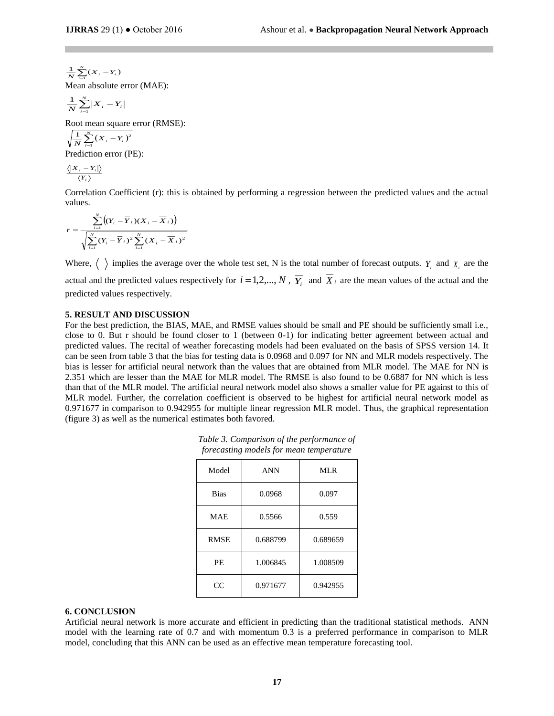$\sum_{i=1}^{N} (X_i \frac{1}{N}\sum_{i=1}^{N}(X_i-Y_i)$ Mean absolute error (MAE):

$$
\frac{1}{N}\sum_{i=1}^{N}\left|X_{i}-Y_{i}\right|
$$

Root mean square error (RMSE):

$$
\sqrt{\frac{1}{N}\sum_{i=1}^N (X_i - Y_i)^2}
$$

Prediction error (PE):

$$
\frac{\left\langle \left| \boldsymbol{X}_{i}-\boldsymbol{Y}_{i}\right| \right\rangle }{\left\langle \boldsymbol{Y}_{i}\right\rangle }
$$

Correlation Coefficient (r): this is obtained by performing a regression between the predicted values and the actual values.

$$
r = \frac{\sum_{i=1}^{N} \left( (Y_i - \overline{Y}_i)(X_i - \overline{X}_i) \right)}{\sqrt{\sum_{i=1}^{N} (Y_i - \overline{Y}_i)^2 \sum_{i=1}^{N} (X_i - \overline{X}_i)^2}}
$$

Where,  $\langle \rangle$  implies the average over the whole test set, N is the total number of forecast outputs.  $Y_i$  and  $X_i$  are the actual and the predicted values respectively for  $i = 1, 2, ..., N$ ,  $\overline{Y_i}$  and  $X_i$  are the mean values of the actual and the predicted values respectively.

### **5. RESULT AND DISCUSSION**

 $\sum_{r=1}^{\infty} (x, -x)$ <br>  $\sum_{r=1}^{\infty} (x, -x)$ <br>  $\sum_{r=1}^{\infty} [x, -x]$ <br>  $\sum_{r=1}^{\infty} (x, -x)$ <br>  $\frac{1}{\sqrt{2\pi}} (x, -x)^2$ <br>
diction error (PE):<br>  $\frac{1}{\sqrt{2\pi}} (x, -x)^2$ <br>
diction error (PE):<br>  $\frac{1}{\sqrt{2\pi}} (x, -x)^2$ <br>  $\frac{1}{\sqrt{2\pi}} (x, -x)^2$ For the best prediction, the BIAS, MAE, and RMSE values should be small and PE should be sufficiently small i.e., close to 0. But r should be found closer to 1 (between 0-1) for indicating better agreement between actual and predicted values. The recital of weather forecasting models had been evaluated on the basis of SPSS version 14. It can be seen from table 3 that the bias for testing data is 0.0968 and 0.097 for NN and MLR models respectively. The bias is lesser for artificial neural network than the values that are obtained from MLR model. The MAE for NN is 2.351 which are lesser than the MAE for MLR model. The RMSE is also found to be 0.6887 for NN which is less than that of the MLR model. The artificial neural network model also shows a smaller value for PE against to this of MLR model. Further, the correlation coefficient is observed to be highest for artificial neural network model as 0.971677 in comparison to 0.942955 for multiple linear regression MLR model. Thus, the graphical representation (figure 3) as well as the numerical estimates both favored.

| forecasting models for mean temperature |            |          |  |  |  |
|-----------------------------------------|------------|----------|--|--|--|
| Model                                   | <b>ANN</b> | MLR      |  |  |  |
| <b>Bias</b>                             | 0.0968     | 0.097    |  |  |  |
| <b>MAE</b>                              | 0.5566     | 0.559    |  |  |  |
| <b>RMSE</b>                             | 0.688799   | 0.689659 |  |  |  |
| <b>PE</b>                               | 1.006845   | 1.008509 |  |  |  |
| CC                                      | 0.971677   | 0.942955 |  |  |  |

*Table 3. Comparison of the performance of forecasting models for mean temperature*

## **6. CONCLUSION**

Artificial neural network is more accurate and efficient in predicting than the traditional statistical methods. ANN model with the learning rate of 0.7 and with momentum 0.3 is a preferred performance in comparison to MLR model, concluding that this ANN can be used as an effective mean temperature forecasting tool.